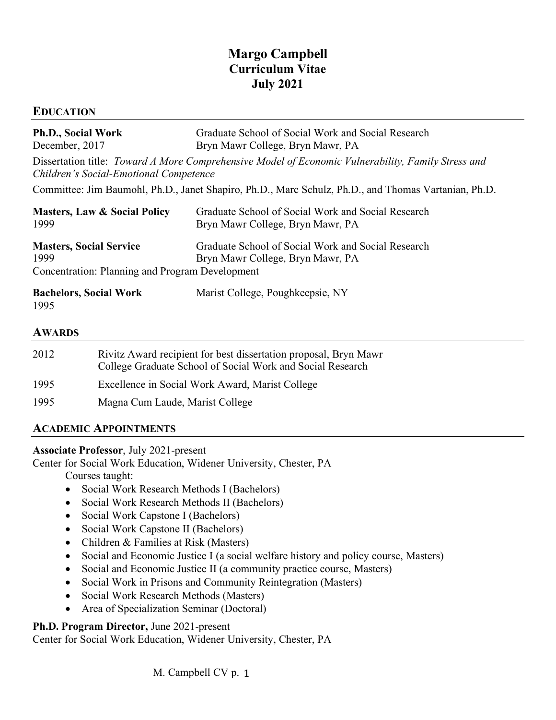# **Margo Campbell Curriculum Vitae July 2021**

### **EDUCATION**

| Ph.D., Social Work<br>December, 2017                                                                                                         | Graduate School of Social Work and Social Research<br>Bryn Mawr College, Bryn Mawr, PA |
|----------------------------------------------------------------------------------------------------------------------------------------------|----------------------------------------------------------------------------------------|
| Dissertation title: Toward A More Comprehensive Model of Economic Vulnerability, Family Stress and<br>Children's Social-Emotional Competence |                                                                                        |
| Committee: Jim Baumohl, Ph.D., Janet Shapiro, Ph.D., Marc Schulz, Ph.D., and Thomas Vartanian, Ph.D.                                         |                                                                                        |
| <b>Masters, Law &amp; Social Policy</b><br>1999                                                                                              | Graduate School of Social Work and Social Research<br>Bryn Mawr College, Bryn Mawr, PA |
| <b>Masters, Social Service</b><br>1999<br><b>Concentration: Planning and Program Development</b>                                             | Graduate School of Social Work and Social Research<br>Bryn Mawr College, Bryn Mawr, PA |
| <b>Bachelors, Social Work</b><br>1995                                                                                                        | Marist College, Poughkeepsie, NY                                                       |

#### **AWARDS**

| 2012 | Rivitz Award recipient for best dissertation proposal, Bryn Mawr<br>College Graduate School of Social Work and Social Research |
|------|--------------------------------------------------------------------------------------------------------------------------------|
| 1995 | Excellence in Social Work Award, Marist College                                                                                |
| 1995 | Magna Cum Laude, Marist College                                                                                                |

### **ACADEMIC APPOINTMENTS**

### **Associate Professor**, July 2021-present

Center for Social Work Education, Widener University, Chester, PA Courses taught:

- Social Work Research Methods I (Bachelors)
- Social Work Research Methods II (Bachelors)
- Social Work Capstone I (Bachelors)
- Social Work Capstone II (Bachelors)
- Children & Families at Risk (Masters)
- Social and Economic Justice I (a social welfare history and policy course, Masters)
- Social and Economic Justice II (a community practice course, Masters)
- Social Work in Prisons and Community Reintegration (Masters)
- Social Work Research Methods (Masters)
- Area of Specialization Seminar (Doctoral)

### **Ph.D. Program Director,** June 2021-present

Center for Social Work Education, Widener University, Chester, PA

M. Campbell CV p. 1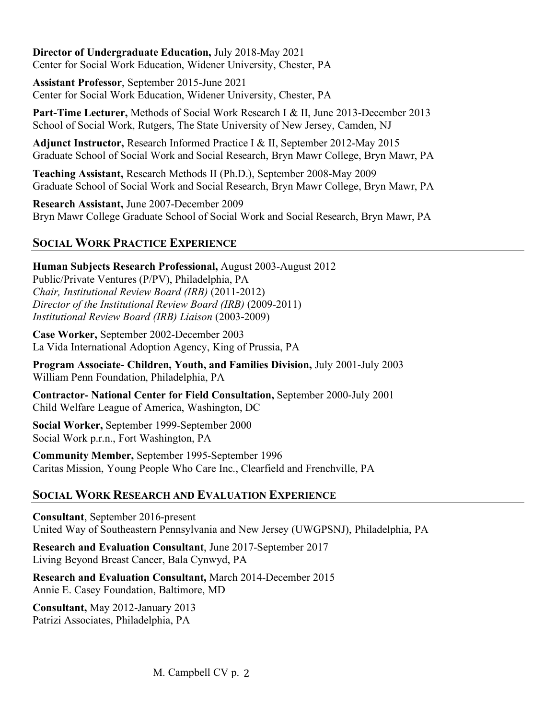**Director of Undergraduate Education,** July 2018-May 2021 Center for Social Work Education, Widener University, Chester, PA

**Assistant Professor**, September 2015-June 2021 Center for Social Work Education, Widener University, Chester, PA

**Part-Time Lecturer,** Methods of Social Work Research I & II, June 2013-December 2013 School of Social Work, Rutgers, The State University of New Jersey, Camden, NJ

**Adjunct Instructor,** Research Informed Practice I & II, September 2012-May 2015 Graduate School of Social Work and Social Research, Bryn Mawr College, Bryn Mawr, PA

**Teaching Assistant,** Research Methods II (Ph.D.), September 2008-May 2009 Graduate School of Social Work and Social Research, Bryn Mawr College, Bryn Mawr, PA

**Research Assistant,** June 2007-December 2009 Bryn Mawr College Graduate School of Social Work and Social Research, Bryn Mawr, PA

# **SOCIAL WORK PRACTICE EXPERIENCE**

**Human Subjects Research Professional,** August 2003-August 2012 Public/Private Ventures (P/PV), Philadelphia, PA *Chair, Institutional Review Board (IRB)* (2011-2012) *Director of the Institutional Review Board (IRB)* (2009-2011) *Institutional Review Board (IRB) Liaison* (2003-2009)

**Case Worker,** September 2002-December 2003 La Vida International Adoption Agency, King of Prussia, PA

**Program Associate- Children, Youth, and Families Division,** July 2001-July 2003 William Penn Foundation, Philadelphia, PA

**Contractor- National Center for Field Consultation,** September 2000-July 2001 Child Welfare League of America, Washington, DC

**Social Worker,** September 1999-September 2000 Social Work p.r.n., Fort Washington, PA

**Community Member,** September 1995-September 1996 Caritas Mission, Young People Who Care Inc., Clearfield and Frenchville, PA

# **SOCIAL WORK RESEARCH AND EVALUATION EXPERIENCE**

**Consultant**, September 2016-present United Way of Southeastern Pennsylvania and New Jersey (UWGPSNJ), Philadelphia, PA

**Research and Evaluation Consultant**, June 2017-September 2017 Living Beyond Breast Cancer, Bala Cynwyd, PA

**Research and Evaluation Consultant,** March 2014-December 2015 Annie E. Casey Foundation, Baltimore, MD

**Consultant,** May 2012-January 2013 Patrizi Associates, Philadelphia, PA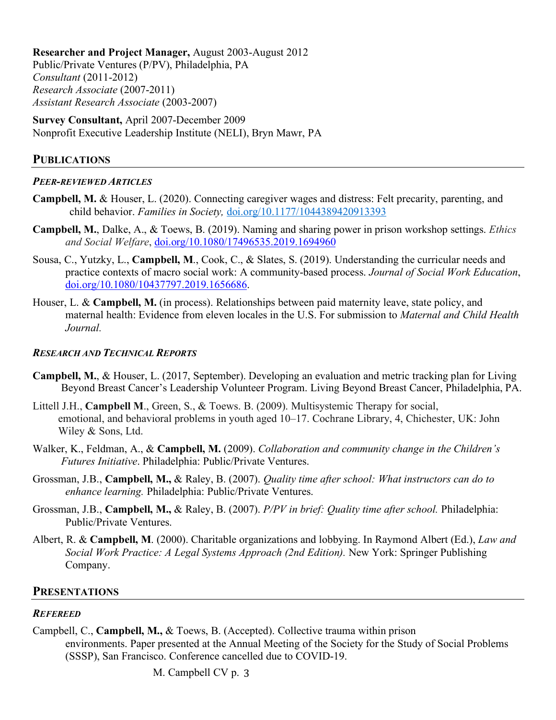**Researcher and Project Manager,** August 2003-August 2012 Public/Private Ventures (P/PV), Philadelphia, PA *Consultant* (2011-2012) *Research Associate* (2007-2011) *Assistant Research Associate* (2003-2007)

**Survey Consultant,** April 2007-December 2009 Nonprofit Executive Leadership Institute (NELI), Bryn Mawr, PA

### **PUBLICATIONS**

#### *PEER-REVIEWED ARTICLES*

- **Campbell, M.** & Houser, L. (2020). Connecting caregiver wages and distress: Felt precarity, parenting, and child behavior. *Families in Society,* doi.org/10.1177/1044389420913393
- **Campbell, M.**, Dalke, A., & Toews, B. (2019). Naming and sharing power in prison workshop settings. *Ethics and Social Welfare*, doi.org/10.1080/17496535.2019.1694960
- Sousa, C., Yutzky, L., **Campbell, M**., Cook, C., & Slates, S. (2019). Understanding the curricular needs and practice contexts of macro social work: A community-based process. *Journal of Social Work Education*, doi.org/10.1080/10437797.2019.1656686.
- Houser, L. & **Campbell, M.** (in process). Relationships between paid maternity leave, state policy, and maternal health: Evidence from eleven locales in the U.S. For submission to *Maternal and Child Health Journal.*

#### *RESEARCH AND TECHNICAL REPORTS*

- **Campbell, M.**, & Houser, L. (2017, September). Developing an evaluation and metric tracking plan for Living Beyond Breast Cancer's Leadership Volunteer Program. Living Beyond Breast Cancer, Philadelphia, PA.
- Littell J.H., **Campbell M**., Green, S., & Toews. B. (2009). Multisystemic Therapy for social, emotional, and behavioral problems in youth aged 10–17. Cochrane Library, 4, Chichester, UK: John Wiley & Sons, Ltd.
- Walker, K., Feldman, A., & **Campbell, M.** (2009). *Collaboration and community change in the Children's Futures Initiative*. Philadelphia: Public/Private Ventures.
- Grossman, J.B., **Campbell, M.,** & Raley, B. (2007). *Quality time after school: What instructors can do to enhance learning.* Philadelphia: Public/Private Ventures.
- Grossman, J.B., **Campbell, M.,** & Raley, B. (2007). *P/PV in brief: Quality time after school.* Philadelphia: Public/Private Ventures.
- Albert, R. & **Campbell, M**. (2000). Charitable organizations and lobbying. In Raymond Albert (Ed.), *Law and Social Work Practice: A Legal Systems Approach (2nd Edition).* New York: Springer Publishing Company.

### **PRESENTATIONS**

### *REFEREED*

Campbell, C., **Campbell, M.,** & Toews, B. (Accepted). Collective trauma within prison environments. Paper presented at the Annual Meeting of the Society for the Study of Social Problems (SSSP), San Francisco. Conference cancelled due to COVID-19.

M. Campbell CV p. 3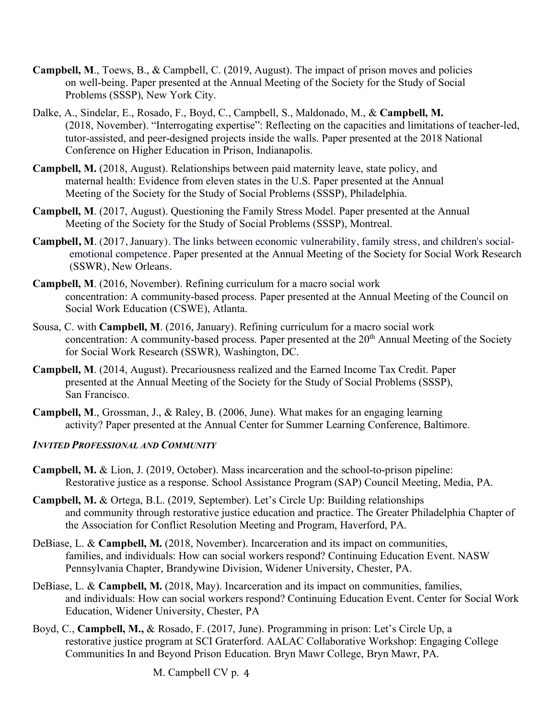- **Campbell, M**., Toews, B., & Campbell, C. (2019, August). The impact of prison moves and policies on well-being. Paper presented at the Annual Meeting of the Society for the Study of Social Problems (SSSP), New York City.
- Dalke, A., Sindelar, E., Rosado, F., Boyd, C., Campbell, S., Maldonado, M., & **Campbell, M.**  (2018, November). "Interrogating expertise": Reflecting on the capacities and limitations of teacher-led, tutor-assisted, and peer-designed projects inside the walls. Paper presented at the 2018 National Conference on Higher Education in Prison, Indianapolis.
- **Campbell, M.** (2018, August). Relationships between paid maternity leave, state policy, and maternal health: Evidence from eleven states in the U.S. Paper presented at the Annual Meeting of the Society for the Study of Social Problems (SSSP), Philadelphia.
- **Campbell, M**. (2017, August). Questioning the Family Stress Model. Paper presented at the Annual Meeting of the Society for the Study of Social Problems (SSSP), Montreal.
- **Campbell, M**. (2017, January). The links between economic vulnerability, family stress, and children's socialemotional competence. Paper presented at the Annual Meeting of the Society for Social Work Research (SSWR), New Orleans.
- **Campbell, M**. (2016, November). Refining curriculum for a macro social work concentration: A community-based process. Paper presented at the Annual Meeting of the Council on Social Work Education (CSWE), Atlanta.
- Sousa, C. with **Campbell, M**. (2016, January). Refining curriculum for a macro social work concentration: A community-based process. Paper presented at the 20<sup>th</sup> Annual Meeting of the Society for Social Work Research (SSWR), Washington, DC.
- **Campbell, M**. (2014, August). Precariousness realized and the Earned Income Tax Credit. Paper presented at the Annual Meeting of the Society for the Study of Social Problems (SSSP), San Francisco.
- **Campbell, M**., Grossman, J., & Raley, B. (2006, June). What makes for an engaging learning activity? Paper presented at the Annual Center for Summer Learning Conference, Baltimore.

### *INVITED PROFESSIONAL AND COMMUNITY*

- **Campbell, M.** & Lion, J. (2019, October). Mass incarceration and the school-to-prison pipeline: Restorative justice as a response. School Assistance Program (SAP) Council Meeting, Media, PA.
- **Campbell, M.** & Ortega, B.L. (2019, September). Let's Circle Up: Building relationships and community through restorative justice education and practice. The Greater Philadelphia Chapter of the Association for Conflict Resolution Meeting and Program, Haverford, PA.
- DeBiase, L. & **Campbell, M.** (2018, November). Incarceration and its impact on communities, families, and individuals: How can social workers respond? Continuing Education Event. NASW Pennsylvania Chapter, Brandywine Division, Widener University, Chester, PA.
- DeBiase, L. & **Campbell, M.** (2018, May). Incarceration and its impact on communities, families, and individuals: How can social workers respond? Continuing Education Event. Center for Social Work Education, Widener University, Chester, PA
- Boyd, C., **Campbell, M.,** & Rosado, F. (2017, June). Programming in prison: Let's Circle Up, a restorative justice program at SCI Graterford. AALAC Collaborative Workshop: Engaging College Communities In and Beyond Prison Education. Bryn Mawr College, Bryn Mawr, PA.

M. Campbell CV p. 4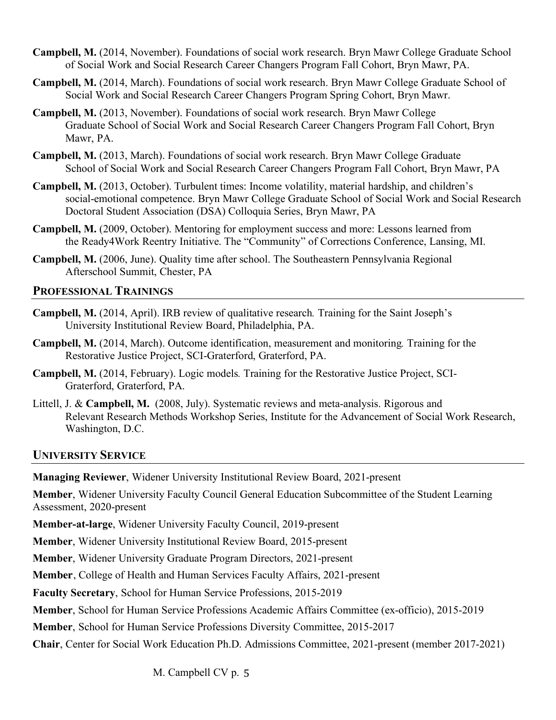- **Campbell, M.** (2014, November). Foundations of social work research. Bryn Mawr College Graduate School of Social Work and Social Research Career Changers Program Fall Cohort, Bryn Mawr, PA.
- **Campbell, M.** (2014, March). Foundations of social work research. Bryn Mawr College Graduate School of Social Work and Social Research Career Changers Program Spring Cohort, Bryn Mawr.
- **Campbell, M.** (2013, November). Foundations of social work research. Bryn Mawr College Graduate School of Social Work and Social Research Career Changers Program Fall Cohort, Bryn Mawr, PA.
- **Campbell, M.** (2013, March). Foundations of social work research. Bryn Mawr College Graduate School of Social Work and Social Research Career Changers Program Fall Cohort, Bryn Mawr, PA
- **Campbell, M.** (2013, October). Turbulent times: Income volatility, material hardship, and children's social-emotional competence. Bryn Mawr College Graduate School of Social Work and Social Research Doctoral Student Association (DSA) Colloquia Series, Bryn Mawr, PA
- **Campbell, M.** (2009, October). Mentoring for employment success and more: Lessons learned from the Ready4Work Reentry Initiative. The "Community" of Corrections Conference, Lansing, MI.
- **Campbell, M.** (2006, June). Quality time after school. The Southeastern Pennsylvania Regional Afterschool Summit, Chester, PA

### **PROFESSIONAL TRAININGS**

- **Campbell, M.** (2014, April). IRB review of qualitative research*.* Training for the Saint Joseph's University Institutional Review Board, Philadelphia, PA.
- **Campbell, M.** (2014, March). Outcome identification, measurement and monitoring*.* Training for the Restorative Justice Project, SCI-Graterford, Graterford, PA.
- **Campbell, M.** (2014, February). Logic models*.* Training for the Restorative Justice Project, SCI-Graterford, Graterford, PA.
- Littell, J. & **Campbell, M.** (2008, July). Systematic reviews and meta-analysis. Rigorous and Relevant Research Methods Workshop Series, Institute for the Advancement of Social Work Research, Washington, D.C.

### **UNIVERSITY SERVICE**

**Managing Reviewer**, Widener University Institutional Review Board, 2021-present

**Member**, Widener University Faculty Council General Education Subcommittee of the Student Learning Assessment, 2020-present

**Member-at-large**, Widener University Faculty Council, 2019-present

**Member**, Widener University Institutional Review Board, 2015-present

**Member**, Widener University Graduate Program Directors, 2021-present

**Member**, College of Health and Human Services Faculty Affairs, 2021-present

**Faculty Secretary**, School for Human Service Professions, 2015-2019

**Member**, School for Human Service Professions Academic Affairs Committee (ex-officio), 2015-2019

**Member**, School for Human Service Professions Diversity Committee, 2015-2017

**Chair**, Center for Social Work Education Ph.D. Admissions Committee, 2021-present (member 2017-2021)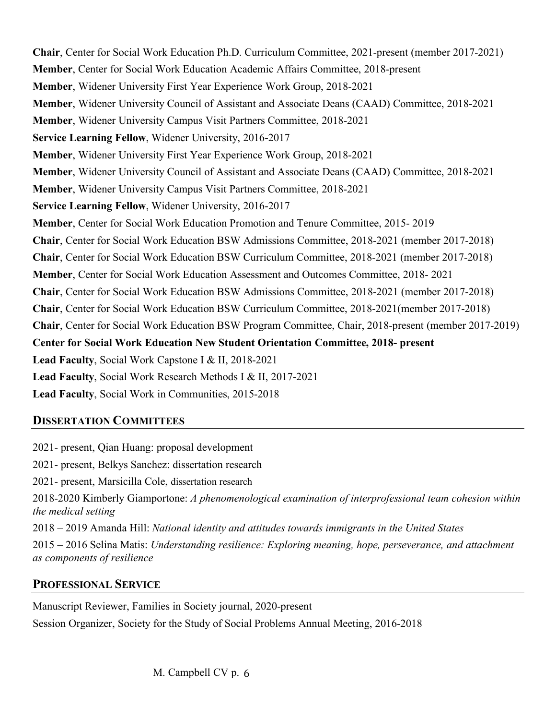**Chair**, Center for Social Work Education Ph.D. Curriculum Committee, 2021-present (member 2017-2021) **Member**, Center for Social Work Education Academic Affairs Committee, 2018-present **Member**, Widener University First Year Experience Work Group, 2018-2021 **Member**, Widener University Council of Assistant and Associate Deans (CAAD) Committee, 2018-2021 **Member**, Widener University Campus Visit Partners Committee, 2018-2021 **Service Learning Fellow**, Widener University, 2016-2017 **Member**, Widener University First Year Experience Work Group, 2018-2021 **Member**, Widener University Council of Assistant and Associate Deans (CAAD) Committee, 2018-2021 **Member**, Widener University Campus Visit Partners Committee, 2018-2021 **Service Learning Fellow**, Widener University, 2016-2017 **Member**, Center for Social Work Education Promotion and Tenure Committee, 2015- 2019 **Chair**, Center for Social Work Education BSW Admissions Committee, 2018-2021 (member 2017-2018) **Chair**, Center for Social Work Education BSW Curriculum Committee, 2018-2021 (member 2017-2018) **Member**, Center for Social Work Education Assessment and Outcomes Committee, 2018- 2021 **Chair**, Center for Social Work Education BSW Admissions Committee, 2018-2021 (member 2017-2018) **Chair**, Center for Social Work Education BSW Curriculum Committee, 2018-2021(member 2017-2018) **Chair**, Center for Social Work Education BSW Program Committee, Chair, 2018-present (member 2017-2019) **Center for Social Work Education New Student Orientation Committee, 2018- present Lead Faculty**, Social Work Capstone I & II, 2018-2021 **Lead Faculty**, Social Work Research Methods I & II, 2017-2021 **Lead Faculty**, Social Work in Communities, 2015-2018

### **DISSERTATION COMMITTEES**

2021- present, Qian Huang: proposal development 2021- present, Belkys Sanchez: dissertation research 2021- present, Marsicilla Cole, dissertation research 2018-2020 Kimberly Giamportone: *A phenomenological examination of interprofessional team cohesion within the medical setting* 2018 – 2019 Amanda Hill: *National identity and attitudes towards immigrants in the United States* 2015 – 2016 Selina Matis: *Understanding resilience: Exploring meaning, hope, perseverance, and attachment as components of resilience*

### **PROFESSIONAL SERVICE**

Manuscript Reviewer, Families in Society journal, 2020-present Session Organizer, Society for the Study of Social Problems Annual Meeting, 2016-2018